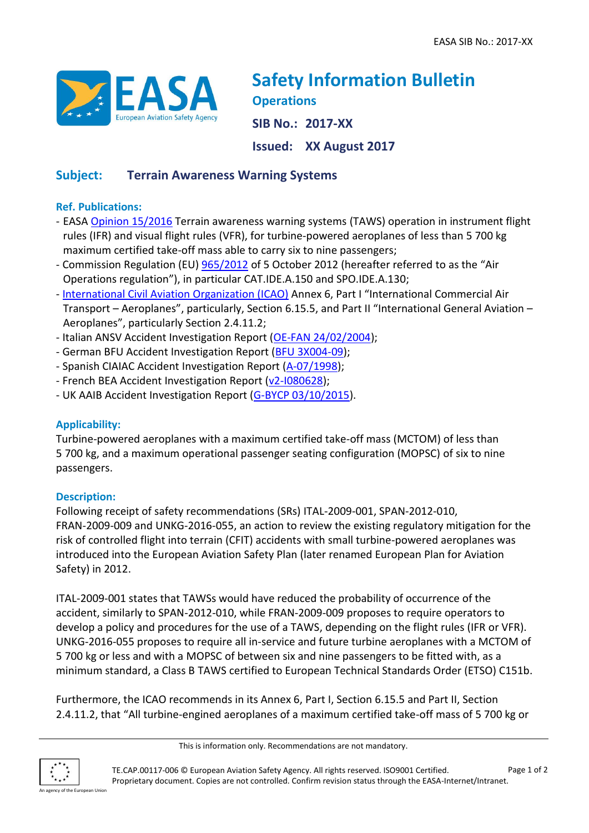

# **Safety Information Bulletin Operations SIB No.: 2017-XX**

**Issued: XX August 2017**

## **Subject: Terrain Awareness Warning Systems**

### **Ref. Publications:**

- EASA [Opinion 15/2016](http://www.easa.europa.eu/document-library/opinions/opinion-152016) Terrain awareness warning systems (TAWS) operation in instrument flight rules (IFR) and visual flight rules (VFR), for turbine-powered aeroplanes of less than 5 700 kg maximum certified take-off mass able to carry six to nine passengers;
- Commission Regulation (EU) [965/2012](http://eur-lex.europa.eu/legal-content/EN/TXT/?qid=1425371379500&uri=CELEX:32012R0965) of 5 October 2012 (hereafter referred to as the "Air Operations regulation"), in particular CAT.IDE.A.150 and SPO.IDE.A.130;
- [International Civil Aviation Organization \(ICAO\)](http://www.icao.int/Pages/default.aspx) Annex 6, Part I "International Commercial Air Transport – Aeroplanes", particularly, Section 6.15.5, and Part II "International General Aviation – Aeroplanes", particularly Section 2.4.11.2;
- Italian ANSV Accident Investigation Report [\(OE-FAN 24/02/2004\)](http://www.ansv.it/it/detail_Relazioni.asp?ID=1134);
- German BFU Accident Investigation Report [\(BFU 3X004-09\)](https://www.bfu-web.de/DE/Publikationen/Untersuchungsberichte/2009/Bericht_09_3X004_PA42_Koenigstein_CFIT.pdf?__blob=publicationFile);
- Spanish CIAIAC Accident Investigation Report [\(A-07/1998\)](https://www.fomento.gob.es/NR/rdonlyres/B054B71D-DDAA-4D5A-A260-229CEE2A0A51/2421/1998_007_A.pdf);
- French BEA Accident Investigation Report [\(v2-I080628\)](http://www.icao.int/safety/airnavigation/AIG/Documents/Safety%20Recommendations%20to%20ICAO/Final%20Reports/08004080_final_report.pdf);
- UK AAIB Accident Investigation Report [\(G-BYCP 03/10/2015\)](https://www.gov.uk/aaib-reports/aaib-investigation-to-beech-b200-super-king-air-g-bycp).

## **Applicability:**

Turbine-powered aeroplanes with a maximum certified take-off mass (MCTOM) of less than 5 700 kg, and a maximum operational passenger seating configuration (MOPSC) of six to nine passengers.

#### **Description:**

Following receipt of safety recommendations (SRs) ITAL-2009-001, SPAN-2012-010, FRAN-2009-009 and UNKG-2016-055, an action to review the existing regulatory mitigation for the risk of controlled flight into terrain (CFIT) accidents with small turbine-powered aeroplanes was introduced into the European Aviation Safety Plan (later renamed European Plan for Aviation Safety) in 2012.

ITAL-2009-001 states that TAWSs would have reduced the probability of occurrence of the accident, similarly to SPAN-2012-010, while FRAN-2009-009 proposes to require operators to develop a policy and procedures for the use of a TAWS, depending on the flight rules (IFR or VFR). UNKG-2016-055 proposes to require all in-service and future turbine aeroplanes with a MCTOM of 5 700 kg or less and with a MOPSC of between six and nine passengers to be fitted with, as a minimum standard, a Class B TAWS certified to European Technical Standards Order (ETSO) C151b.

Furthermore, the ICAO recommends in its Annex 6, Part I, Section 6.15.5 and Part II, Section 2.4.11.2, that "All turbine-engined aeroplanes of a maximum certified take-off mass of 5 700 kg or